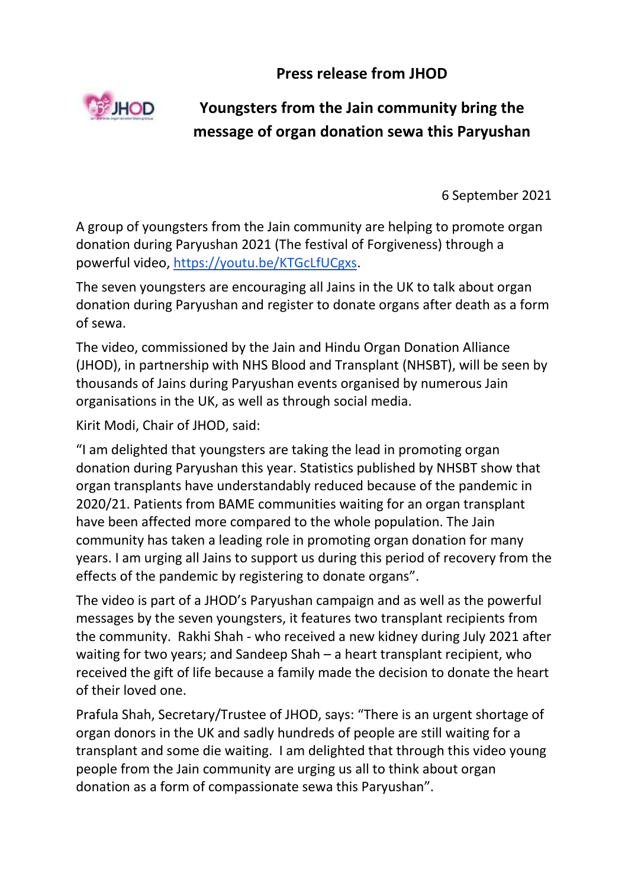**Press release from JHOD**



## **Youngsters from the Jain community bring the message of organ donation sewa this Paryushan**

6 September 2021

A group of youngsters from the Jain community are helping to promote organ donation during Paryushan 2021 (The festival of Forgiveness) through a powerful video, [https://youtu.be/KTGcLfUCgxs.](about:blank)

The seven youngsters are encouraging all Jains in the UK to talk about organ donation during Paryushan and register to donate organs after death as a form of sewa.

The video, commissioned by the Jain and Hindu Organ Donation Alliance (JHOD), in partnership with NHS Blood and Transplant (NHSBT), will be seen by thousands of Jains during Paryushan events organised by numerous Jain organisations in the UK, as well as through social media.

Kirit Modi, Chair of JHOD, said:

"I am delighted that youngsters are taking the lead in promoting organ donation during Paryushan this year. Statistics published by NHSBT show that organ transplants have understandably reduced because of the pandemic in 2020/21. Patients from BAME communities waiting for an organ transplant have been affected more compared to the whole population. The Jain community has taken a leading role in promoting organ donation for many years. I am urging all Jains to support us during this period of recovery from the effects of the pandemic by registering to donate organs".

The video is part of a JHOD's Paryushan campaign and as well as the powerful messages by the seven youngsters, it features two transplant recipients from the community. Rakhi Shah - who received a new kidney during July 2021 after waiting for two years; and Sandeep Shah – a heart transplant recipient, who received the gift of life because a family made the decision to donate the heart of their loved one.

Prafula Shah, Secretary/Trustee of JHOD, says: "There is an urgent shortage of organ donors in the UK and sadly hundreds of people are still waiting for a transplant and some die waiting. I am delighted that through this video young people from the Jain community are urging us all to think about organ donation as a form of compassionate sewa this Paryushan".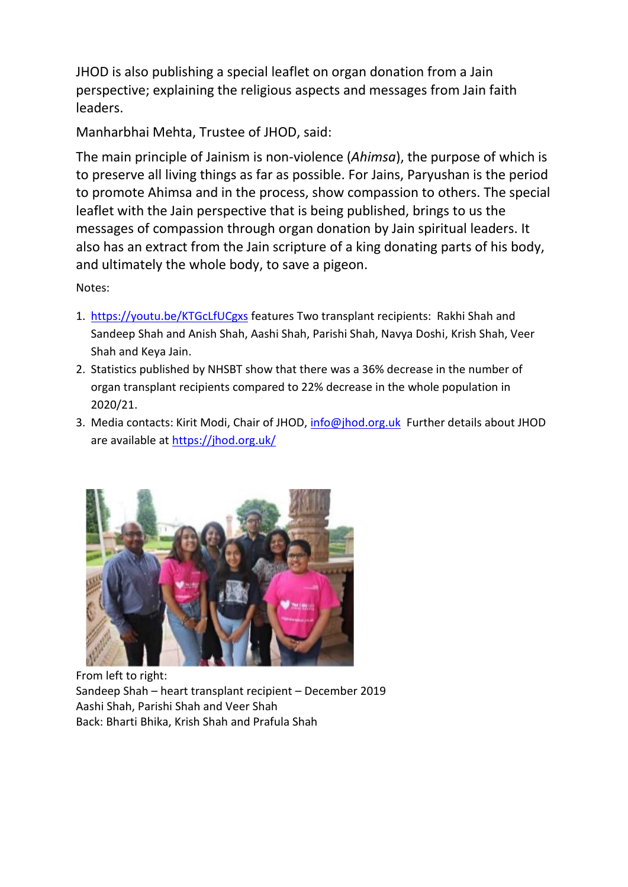JHOD is also publishing a special leaflet on organ donation from a Jain perspective; explaining the religious aspects and messages from Jain faith leaders.

Manharbhai Mehta, Trustee of JHOD, said:

The main principle of Jainism is non-violence (*Ahimsa*), the purpose of which is to preserve all living things as far as possible. For Jains, Paryushan is the period to promote Ahimsa and in the process, show compassion to others. The special leaflet with the Jain perspective that is being published, brings to us the messages of compassion through organ donation by Jain spiritual leaders. It also has an extract from the Jain scripture of a king donating parts of his body, and ultimately the whole body, to save a pigeon.

Notes:

- 1. [https://youtu.be/KTGcLfUCgxs](about:blank) features Two transplant recipients: Rakhi Shah and Sandeep Shah and Anish Shah, Aashi Shah, Parishi Shah, Navya Doshi, Krish Shah, Veer Shah and Keya Jain.
- 2. Statistics published by NHSBT show that there was a 36% decrease in the number of organ transplant recipients compared to 22% decrease in the whole population in 2020/21.
- 3. Media contacts: Kirit Modi, Chair of JHOD, [info@jhod.org.uk](about:blank) Further details about JHOD are available at https://jhod.org.uk/



From left to right: Sandeep Shah – heart transplant recipient – December 2019 Aashi Shah, Parishi Shah and Veer Shah Back: Bharti Bhika, Krish Shah and Prafula Shah